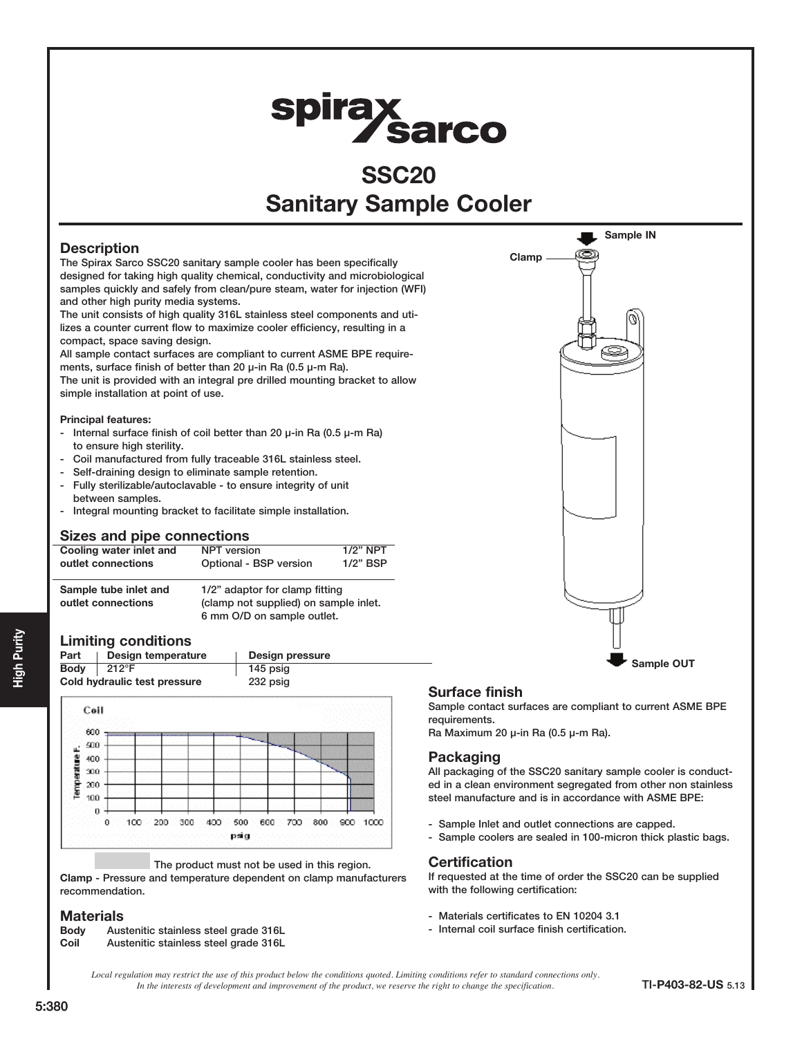# spirax<br>Sarco

# **SSC20** Sanitary Sample Cooler

# **Description**

The Spirax Sarco SSC20 sanitary sample cooler has been specifically designed for taking high quality chemical, conductivity and microbiological samples quickly and safely from clean/pure steam, water for injection (WFI) and other high purity media systems.

The unit consists of high quality 316L stainless steel components and utilizes a counter current flow to maximize cooler efficiency, resulting in a compact, space saving design.

All sample contact surfaces are compliant to current ASME BPE requirements, surface finish of better than 20  $\mu$ -in Ra (0.5  $\mu$ -m Ra).

The unit is provided with an integral pre drilled mounting bracket to allow simple installation at point of use.

#### Principal features:

- Internal surface finish of coil better than 20 µ-in Ra (0.5 µ-m Ra) to ensure high sterility.
- Coil manufactured from fully traceable 316L stainless steel.
- Self-draining design to eliminate sample retention.
- Fully sterilizable/autoclavable to ensure integrity of unit between samples.
- Integral mounting bracket to facilitate simple installation.

# Sizes and pipe connections

| Cooling water inlet and                     | NPT version                                                                                           | $1/2"$ NPT  |
|---------------------------------------------|-------------------------------------------------------------------------------------------------------|-------------|
| outlet connections                          | Optional - BSP version                                                                                | $1/2$ " BSP |
| Sample tube inlet and<br>outlet connections | 1/2" adaptor for clamp fitting<br>(clamp not supplied) on sample inlet.<br>6 mm O/D on sample outlet. |             |

# Limiting conditions





#### The product must not be used in this region.

Clamp - Pressure and temperature dependent on clamp manufacturers recommendation.

# **Materials**

Body Austenitic stainless steel grade 316L Coil Austenitic stainless steel grade 316L



# Surface finish

Sample contact surfaces are compliant to current ASME BPE requirements.

Ra Maximum 20 µ-in Ra (0.5 µ-m Ra).

# Packaging

All packaging of the SSC20 sanitary sample cooler is conducted in a clean environment segregated from other non stainless steel manufacture and is in accordance with ASME BPE:

- Sample Inlet and outlet connections are capped.
- Sample coolers are sealed in 100-micron thick plastic bags.

#### **Certification**

If requested at the time of order the SSC20 can be supplied with the following certification:

- Materials certificates to EN 10204 3.1
- Internal coil surface finish certification.

*Local regulation may restrict the use of this product below the conditions quoted. Limiting conditions refer to standard connections only. In the interests of development and improvement of the product, we reserve the right to change the specification.* TI-P403-82-US 5.13